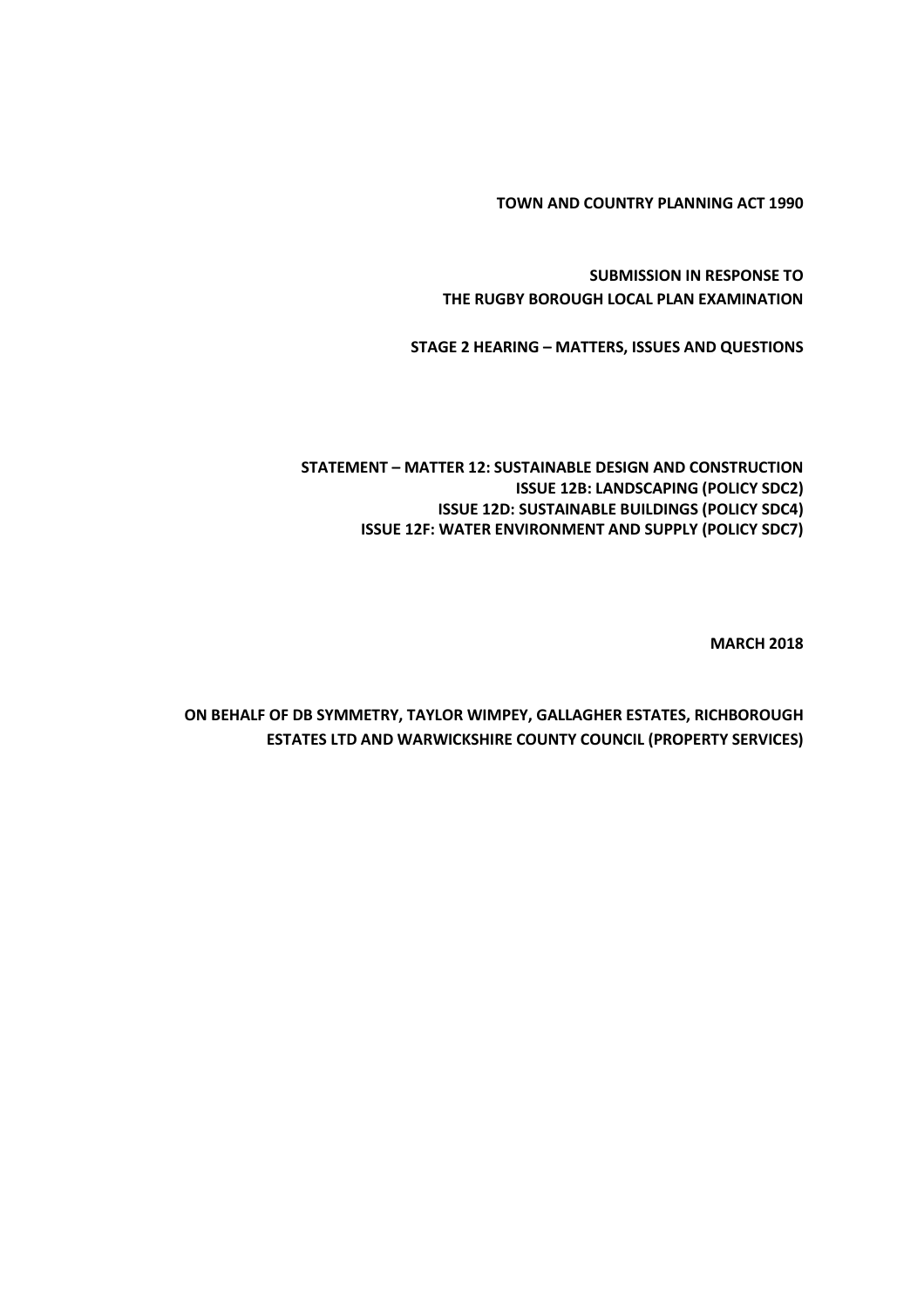**TOWN AND COUNTRY PLANNING ACT 1990**

**SUBMISSION IN RESPONSE TO THE RUGBY BOROUGH LOCAL PLAN EXAMINATION**

**STAGE 2 HEARING – MATTERS, ISSUES AND QUESTIONS**

**STATEMENT – MATTER 12: SUSTAINABLE DESIGN AND CONSTRUCTION ISSUE 12B: LANDSCAPING (POLICY SDC2) ISSUE 12D: SUSTAINABLE BUILDINGS (POLICY SDC4) ISSUE 12F: WATER ENVIRONMENT AND SUPPLY (POLICY SDC7)**

**MARCH 2018**

**ON BEHALF OF DB SYMMETRY, TAYLOR WIMPEY, GALLAGHER ESTATES, RICHBOROUGH ESTATES LTD AND WARWICKSHIRE COUNTY COUNCIL (PROPERTY SERVICES)**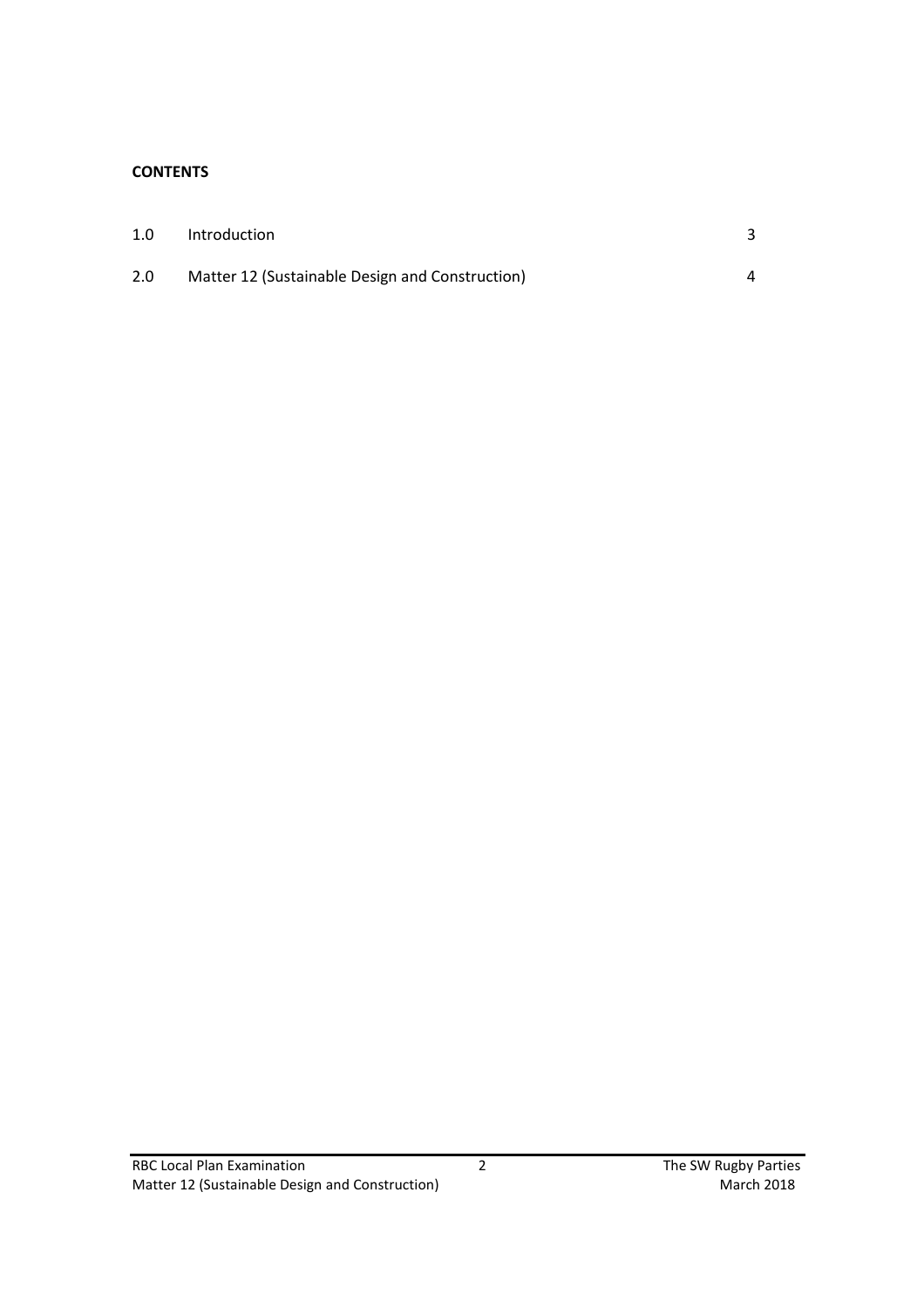## **CONTENTS**

| 1.0 | Introduction                                    |  |
|-----|-------------------------------------------------|--|
| 2.0 | Matter 12 (Sustainable Design and Construction) |  |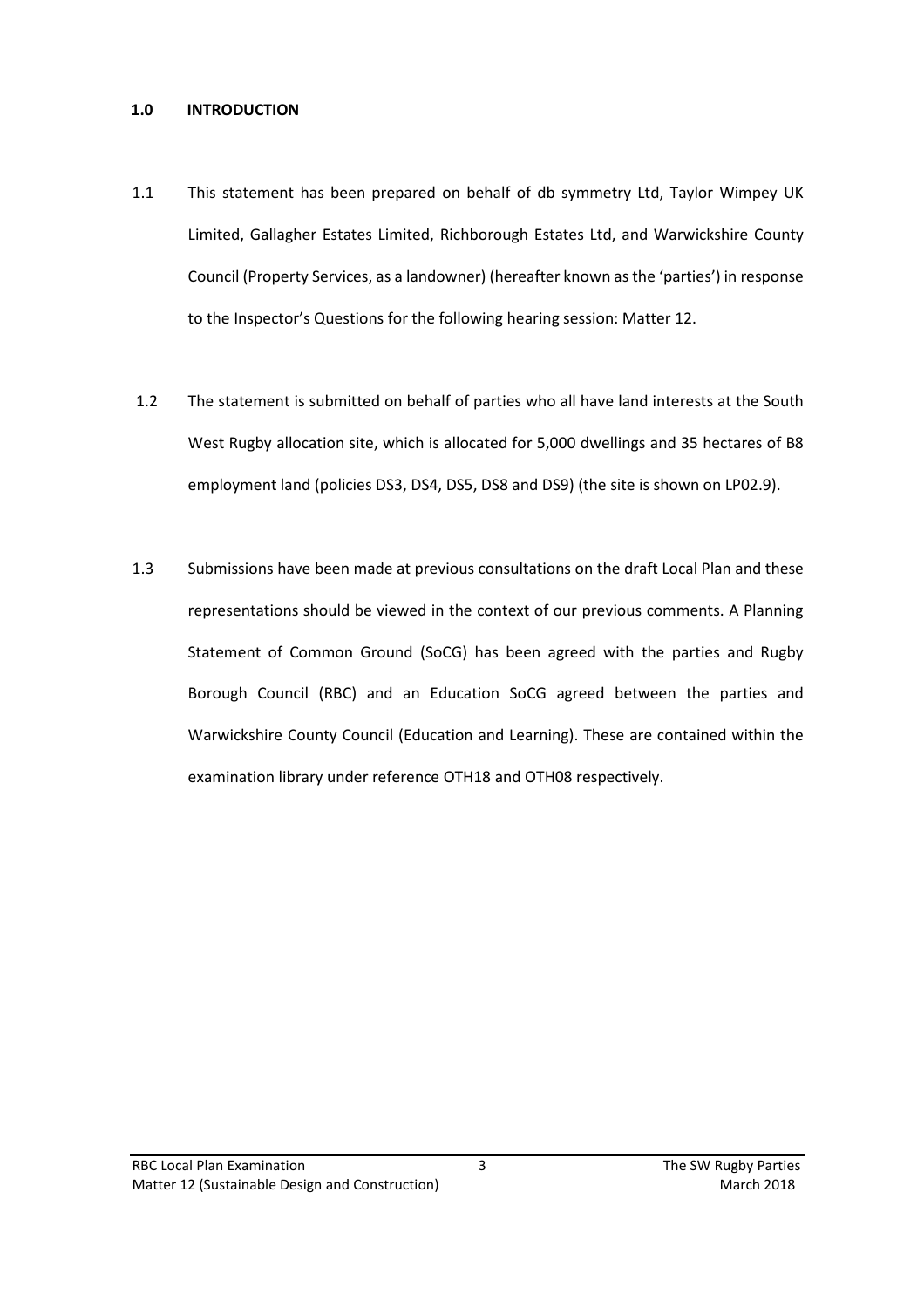#### **1.0 INTRODUCTION**

- 1.1 This statement has been prepared on behalf of db symmetry Ltd, Taylor Wimpey UK Limited, Gallagher Estates Limited, Richborough Estates Ltd, and Warwickshire County Council (Property Services, as a landowner) (hereafter known as the 'parties') in response to the Inspector's Questions for the following hearing session: Matter 12.
- 1.2 The statement is submitted on behalf of parties who all have land interests at the South West Rugby allocation site, which is allocated for 5,000 dwellings and 35 hectares of B8 employment land (policies DS3, DS4, DS5, DS8 and DS9) (the site is shown on LP02.9).
- 1.3 Submissions have been made at previous consultations on the draft Local Plan and these representations should be viewed in the context of our previous comments. A Planning Statement of Common Ground (SoCG) has been agreed with the parties and Rugby Borough Council (RBC) and an Education SoCG agreed between the parties and Warwickshire County Council (Education and Learning). These are contained within the examination library under reference OTH18 and OTH08 respectively.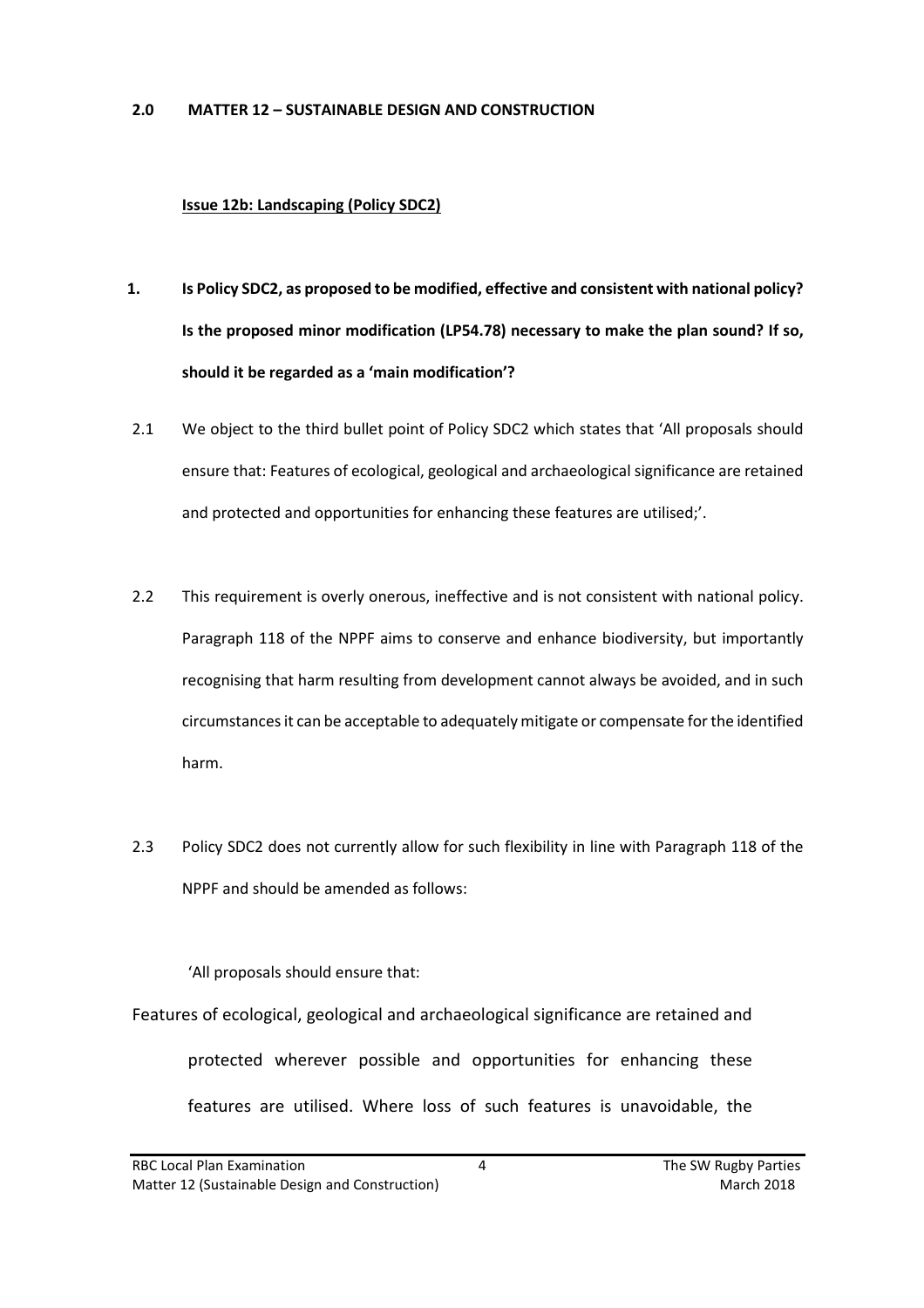#### **2.0 MATTER 12 – SUSTAINABLE DESIGN AND CONSTRUCTION**

### **Issue 12b: Landscaping (Policy SDC2)**

- **1. Is Policy SDC2, as proposed to be modified, effective and consistent with national policy? Is the proposed minor modification (LP54.78) necessary to make the plan sound? If so, should it be regarded as a 'main modification'?**
- 2.1 We object to the third bullet point of Policy SDC2 which states that 'All proposals should ensure that: Features of ecological, geological and archaeological significance are retained and protected and opportunities for enhancing these features are utilised;'.
- 2.2 This requirement is overly onerous, ineffective and is not consistent with national policy. Paragraph 118 of the NPPF aims to conserve and enhance biodiversity, but importantly recognising that harm resulting from development cannot always be avoided, and in such circumstances it can be acceptable to adequately mitigate or compensate for the identified harm.
- 2.3 Policy SDC2 does not currently allow for such flexibility in line with Paragraph 118 of the NPPF and should be amended as follows:

'All proposals should ensure that:

Features of ecological, geological and archaeological significance are retained and protected wherever possible and opportunities for enhancing these features are utilised. Where loss of such features is unavoidable, the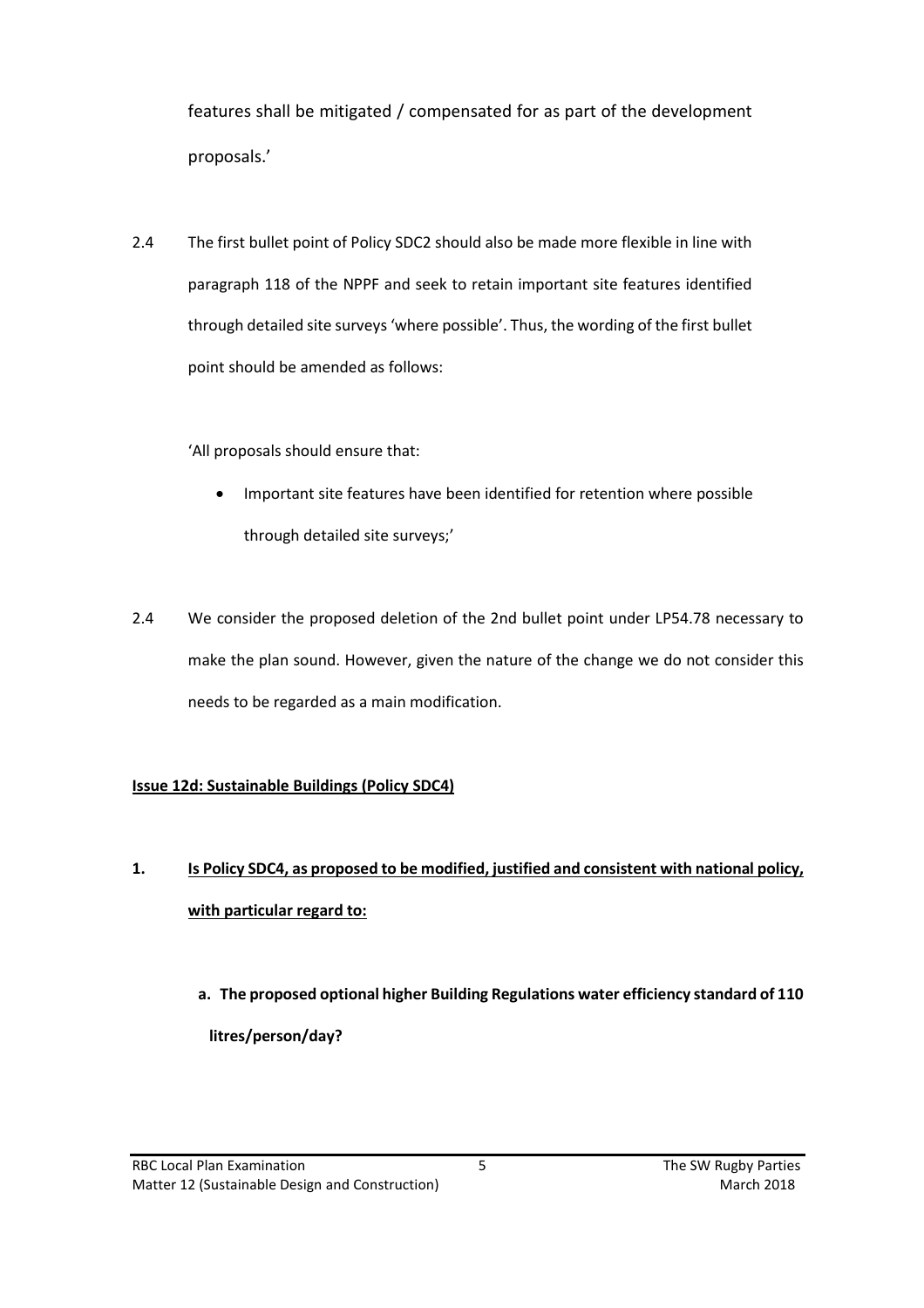features shall be mitigated / compensated for as part of the development proposals.'

2.4 The first bullet point of Policy SDC2 should also be made more flexible in line with paragraph 118 of the NPPF and seek to retain important site features identified through detailed site surveys 'where possible'. Thus, the wording of the first bullet point should be amended as follows:

'All proposals should ensure that:

- Important site features have been identified for retention where possible through detailed site surveys;'
- 2.4 We consider the proposed deletion of the 2nd bullet point under LP54.78 necessary to make the plan sound. However, given the nature of the change we do not consider this needs to be regarded as a main modification.

# **Issue 12d: Sustainable Buildings (Policy SDC4)**

- **1. Is Policy SDC4, as proposed to be modified, justified and consistent with national policy, with particular regard to:**
	- **a. The proposed optional higher Building Regulations water efficiency standard of 110 litres/person/day?**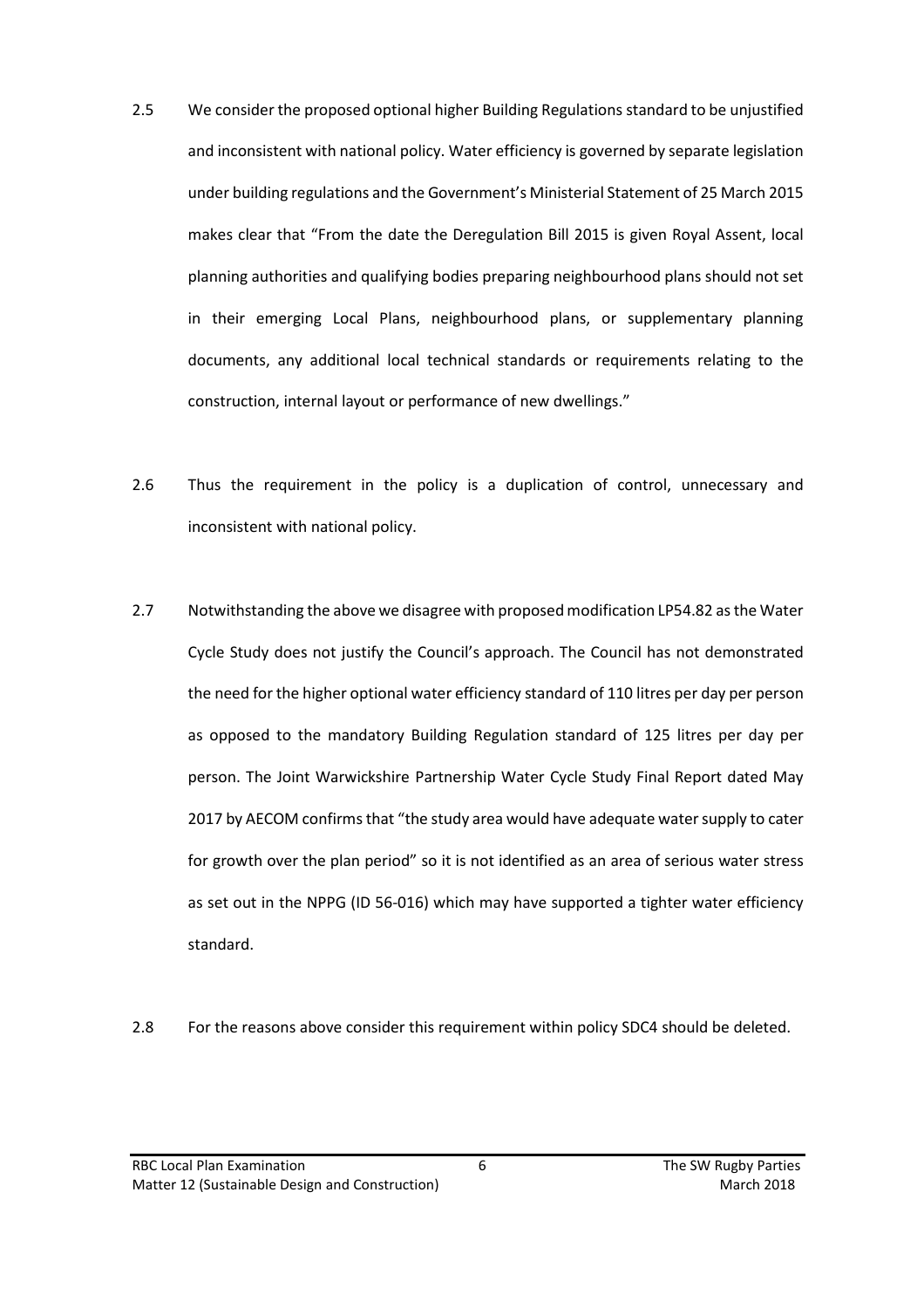- 2.5 We consider the proposed optional higher Building Regulations standard to be unjustified and inconsistent with national policy. Water efficiency is governed by separate legislation under building regulations and the Government's Ministerial Statement of 25 March 2015 makes clear that "From the date the Deregulation Bill 2015 is given Royal Assent, local planning authorities and qualifying bodies preparing neighbourhood plans should not set in their emerging Local Plans, neighbourhood plans, or supplementary planning documents, any additional local technical standards or requirements relating to the construction, internal layout or performance of new dwellings."
- 2.6 Thus the requirement in the policy is a duplication of control, unnecessary and inconsistent with national policy.
- 2.7 Notwithstanding the above we disagree with proposed modification LP54.82 as the Water Cycle Study does not justify the Council's approach. The Council has not demonstrated the need for the higher optional water efficiency standard of 110 litres per day per person as opposed to the mandatory Building Regulation standard of 125 litres per day per person. The Joint Warwickshire Partnership Water Cycle Study Final Report dated May 2017 by AECOM confirms that "the study area would have adequate water supply to cater for growth over the plan period" so it is not identified as an area of serious water stress as set out in the NPPG (ID 56-016) which may have supported a tighter water efficiency standard.
- 2.8 For the reasons above consider this requirement within policy SDC4 should be deleted.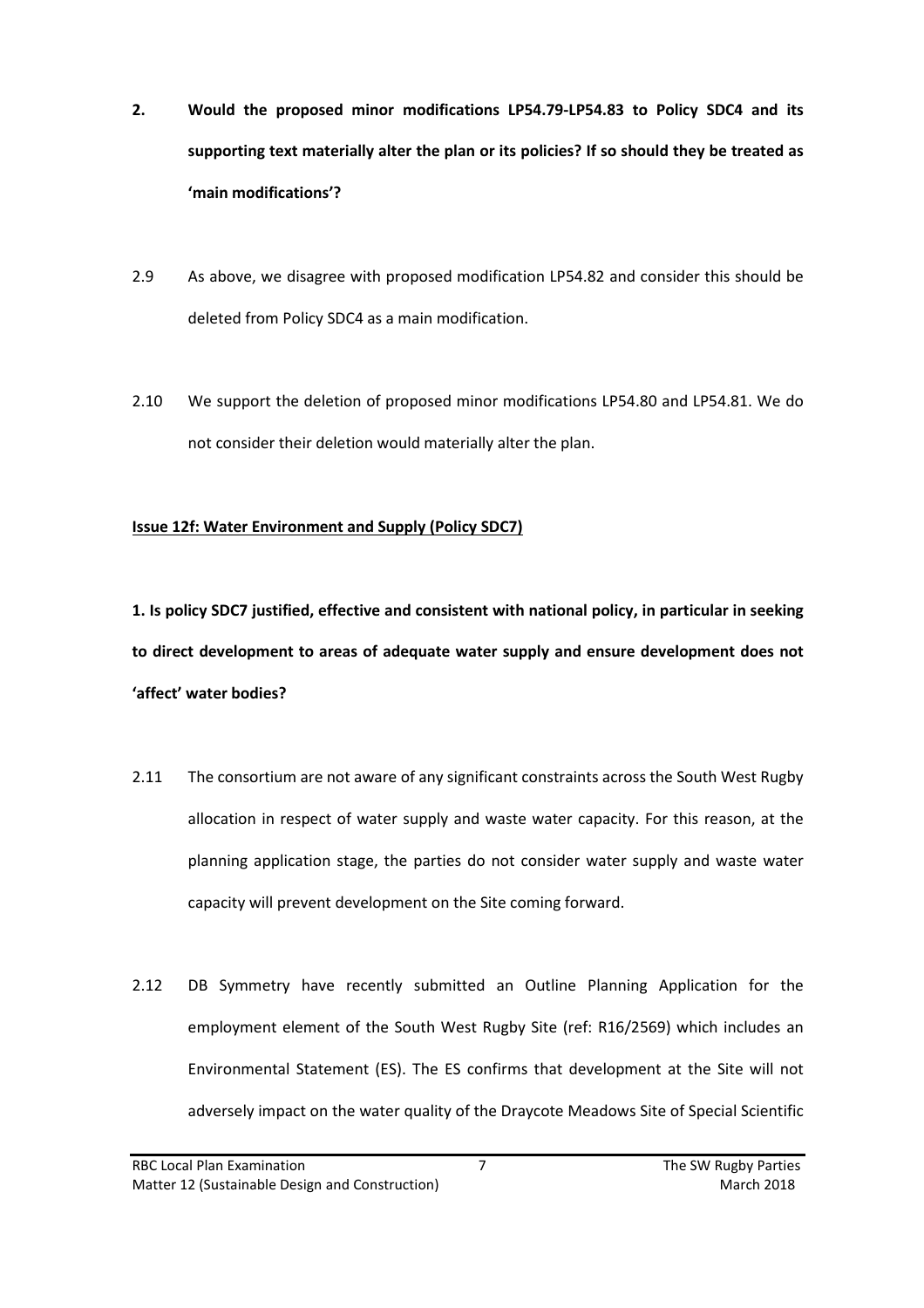- **2. Would the proposed minor modifications LP54.79-LP54.83 to Policy SDC4 and its supporting text materially alter the plan or its policies? If so should they be treated as 'main modifications'?**
- 2.9 As above, we disagree with proposed modification LP54.82 and consider this should be deleted from Policy SDC4 as a main modification.
- 2.10 We support the deletion of proposed minor modifications LP54.80 and LP54.81. We do not consider their deletion would materially alter the plan.

## **Issue 12f: Water Environment and Supply (Policy SDC7)**

**1. Is policy SDC7 justified, effective and consistent with national policy, in particular in seeking to direct development to areas of adequate water supply and ensure development does not 'affect' water bodies?**

- 2.11 The consortium are not aware of any significant constraints across the South West Rugby allocation in respect of water supply and waste water capacity. For this reason, at the planning application stage, the parties do not consider water supply and waste water capacity will prevent development on the Site coming forward.
- 2.12 DB Symmetry have recently submitted an Outline Planning Application for the employment element of the South West Rugby Site (ref: R16/2569) which includes an Environmental Statement (ES). The ES confirms that development at the Site will not adversely impact on the water quality of the Draycote Meadows Site of Special Scientific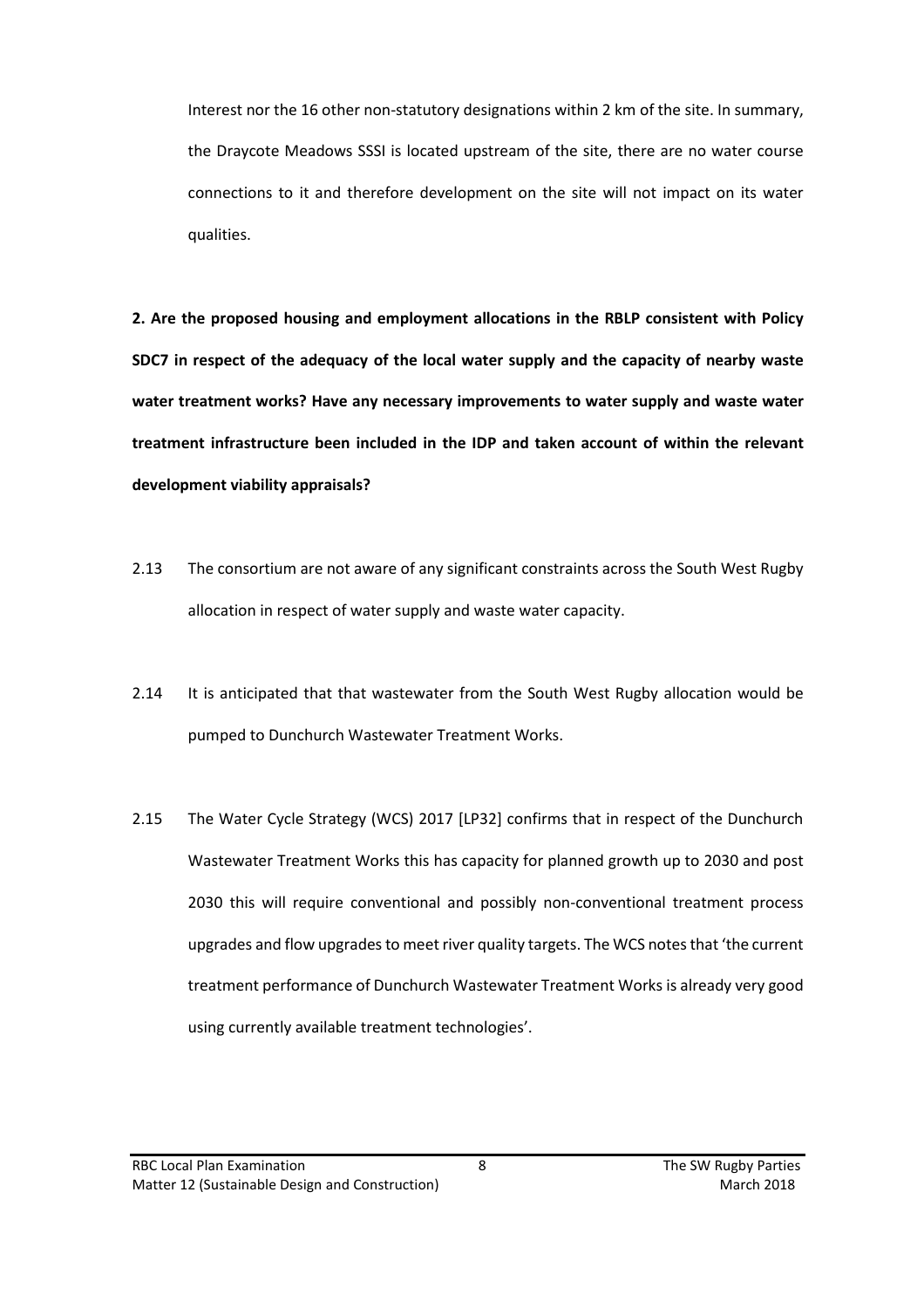Interest nor the 16 other non-statutory designations within 2 km of the site. In summary, the Draycote Meadows SSSI is located upstream of the site, there are no water course connections to it and therefore development on the site will not impact on its water qualities.

**2. Are the proposed housing and employment allocations in the RBLP consistent with Policy SDC7 in respect of the adequacy of the local water supply and the capacity of nearby waste water treatment works? Have any necessary improvements to water supply and waste water treatment infrastructure been included in the IDP and taken account of within the relevant development viability appraisals?**

- 2.13 The consortium are not aware of any significant constraints across the South West Rugby allocation in respect of water supply and waste water capacity.
- 2.14 It is anticipated that that wastewater from the South West Rugby allocation would be pumped to Dunchurch Wastewater Treatment Works.
- 2.15 The Water Cycle Strategy (WCS) 2017 [LP32] confirms that in respect of the Dunchurch Wastewater Treatment Works this has capacity for planned growth up to 2030 and post 2030 this will require conventional and possibly non-conventional treatment process upgrades and flow upgrades to meet river quality targets. The WCS notes that 'the current treatment performance of Dunchurch Wastewater Treatment Works is already very good using currently available treatment technologies'.